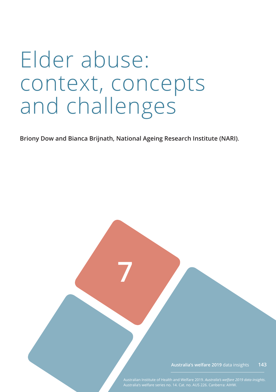# Elder abuse: context, concepts and challenges

**Briony Dow and Bianca Brijnath, National Ageing Research Institute (NARI)**.

**7**

**Australia's welfare 2019** data insights **143**

Australian Institute of Health and Welfare 2019. *Australia's welfare 2019 data insights*.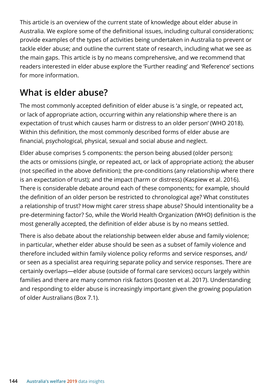This article is an overview of the current state of knowledge about elder abuse in Australia. We explore some of the definitional issues, including cultural considerations; provide examples of the types of activities being undertaken in Australia to prevent or tackle elder abuse; and outline the current state of research, including what we see as the main gaps. This article is by no means comprehensive, and we recommend that readers interested in elder abuse explore the 'Further reading' and 'Reference' sections for more information.

# **What is elder abuse?**

The most commonly accepted definition of elder abuse is 'a single, or repeated act, or lack of appropriate action, occurring within any relationship where there is an expectation of trust which causes harm or distress to an older person' (WHO 2018). Within this definition, the most commonly described forms of elder abuse are financial, psychological, physical, sexual and social abuse and neglect.

Elder abuse comprises 5 components: the person being abused (older person); the acts or omissions (single, or repeated act, or lack of appropriate action); the abuser (not specified in the above definition); the pre-conditions (any relationship where there is an expectation of trust); and the impact (harm or distress) (Kaspiew et al. 2016). There is considerable debate around each of these components; for example, should the definition of an older person be restricted to chronological age? What constitutes a relationship of trust? How might carer stress shape abuse? Should intentionality be a pre-determining factor? So, while the World Health Organization (WHO) definition is the most generally accepted, the definition of elder abuse is by no means settled.

There is also debate about the relationship between elder abuse and family violence; in particular, whether elder abuse should be seen as a subset of family violence and therefore included within family violence policy reforms and service responses, and/ or seen as a specialist area requiring separate policy and service responses. There are certainly overlaps—elder abuse (outside of formal care services) occurs largely within families and there are many common risk factors (Joosten et al. 2017). Understanding and responding to elder abuse is increasingly important given the growing population of older Australians (Box 7.1).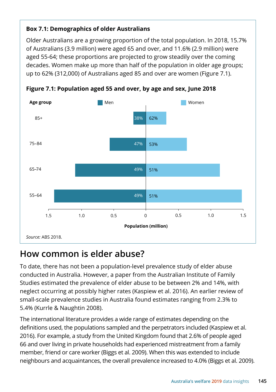#### **Box 7.1: Demographics of older Australians**

Older Australians are a growing proportion of the total population. In 2018, 15.7% of Australians (3.9 million) were aged 65 and over, and 11.6% (2.9 million) were aged 55-64; these proportions are projected to grow steadily over the coming decades. Women make up more than half of the population in older age groups; up to 62% (312,000) of Australians aged 85 and over are women (Figure 7.1).



**Figure 7.1: Population aged 55 and over, by age and sex, June 2018**

### **How common is elder abuse?**

To date, there has not been a population-level prevalence study of elder abuse conducted in Australia. However, a paper from the Australian Institute of Family Studies estimated the prevalence of elder abuse to be between 2% and 14%, with neglect occurring at possibly higher rates (Kaspiew et al. 2016). An earlier review of small-scale prevalence studies in Australia found estimates ranging from 2.3% to 5.4% (Kurrle & Naughtin 2008).

The international literature provides a wide range of estimates depending on the definitions used, the populations sampled and the perpetrators included (Kaspiew et al. 2016). For example, a study from the United Kingdom found that 2.6% of people aged 66 and over living in private households had experienced mistreatment from a family member, friend or care worker (Biggs et al. 2009). When this was extended to include neighbours and acquaintances, the overall prevalence increased to 4.0% (Biggs et al. 2009).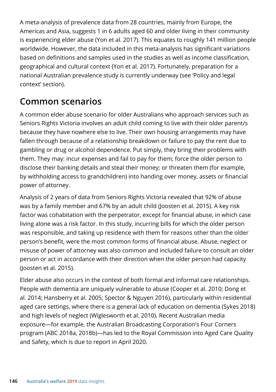A meta-analysis of prevalence data from 28 countries, mainly from Europe, the Americas and Asia, suggests 1 in 6 adults aged 60 and older living in their community is experiencing elder abuse (Yon et al. 2017). This equates to roughly 141 million people worldwide. However, the data included in this meta-analysis has significant variations based on definitions and samples used in the studies as well as income classification, geographical and cultural context (Yon et al. 2017). Fortunately, preparation for a national Australian prevalence study is currently underway (see 'Policy and legal context' section).

## **Common scenarios**

A common elder abuse scenario for older Australians who approach services such as Seniors Rights Victoria involves an adult child coming to live with their older parent/s because they have nowhere else to live. Their own housing arrangements may have fallen through because of a relationship breakdown or failure to pay the rent due to gambling or drug or alcohol dependence. Put simply, they bring their problems with them. They may: incur expenses and fail to pay for them; force the older person to disclose their banking details and steal their money; or threaten them (for example, by withholding access to grandchildren) into handing over money, assets or financial power of attorney.

Analysis of 2 years of data from Seniors Rights Victoria revealed that 92% of abuse was by a family member and 67% by an adult child (Joosten et al. 2015). A key risk factor was cohabitation with the perpetrator, except for financial abuse, in which case living alone was a risk factor. In this study, incurring bills for which the older person was responsible, and taking up residence with them for reasons other than the older person's benefit, were the most common forms of financial abuse. Abuse, neglect or misuse of power of attorney was also common and included failure to consult an older person or act in accordance with their direction when the older person had capacity (Joosten et al. 2015).

Elder abuse also occurs in the context of both formal and informal care relationships. People with dementia are uniquely vulnerable to abuse (Cooper et al. 2010; Dong et al. 2014; Hansberry et al. 2005; Spector & Nguyen 2016), particularly within residential aged care settings, where there is a general lack of education on dementia (Sykes 2018) and high levels of neglect (Wiglesworth et al. 2010). Recent Australian media exposure—for example, the Australian Broadcasting Corporation's Four Corners program (ABC 2018a, 2018b)—has led to the Royal Commission into Aged Care Quality and Safety, which is due to report in April 2020.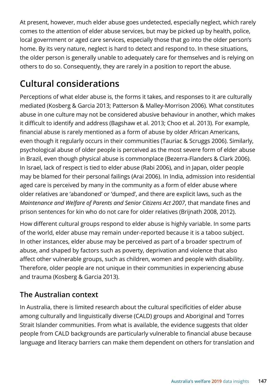At present, however, much elder abuse goes undetected, especially neglect, which rarely comes to the attention of elder abuse services, but may be picked up by health, police, local government or aged care services, especially those that go into the older person's home. By its very nature, neglect is hard to detect and respond to. In these situations, the older person is generally unable to adequately care for themselves and is relying on others to do so. Consequently, they are rarely in a position to report the abuse.

# **Cultural considerations**

Perceptions of what elder abuse is, the forms it takes, and responses to it are culturally mediated (Kosberg & Garcia 2013; Patterson & Malley-Morrison 2006). What constitutes abuse in one culture may not be considered abusive behaviour in another, which makes it difficult to identify and address (Bagshaw et al. 2013; Choo et al. 2013). For example, financial abuse is rarely mentioned as a form of abuse by older African Americans, even though it regularly occurs in their communities (Tauriac & Scruggs 2006). Similarly, psychological abuse of older people is perceived as the most severe form of elder abuse in Brazil, even though physical abuse is commonplace (Bezerra-Flanders & Clark 2006). In Israel, lack of respect is tied to elder abuse (Rabi 2006), and in Japan, older people may be blamed for their personal failings (Arai 2006). In India, admission into residential aged care is perceived by many in the community as a form of elder abuse where older relatives are 'abandoned' or 'dumped', and there are explicit laws, such as the *Maintenance and Welfare of Parents and Senior Citizens Act 2007*, that mandate fines and prison sentences for kin who do not care for older relatives (Brijnath 2008, 2012).

How different cultural groups respond to elder abuse is highly variable. In some parts of the world, elder abuse may remain under-reported because it is a taboo subject. In other instances, elder abuse may be perceived as part of a broader spectrum of abuse, and shaped by factors such as poverty, deprivation and violence that also affect other vulnerable groups, such as children, women and people with disability. Therefore, older people are not unique in their communities in experiencing abuse and trauma (Kosberg & Garcia 2013).

#### **The Australian context**

In Australia, there is limited research about the cultural specificities of elder abuse among culturally and linguistically diverse (CALD) groups and Aboriginal and Torres Strait Islander communities. From what is available, the evidence suggests that older people from CALD backgrounds are particularly vulnerable to financial abuse because language and literacy barriers can make them dependent on others for translation and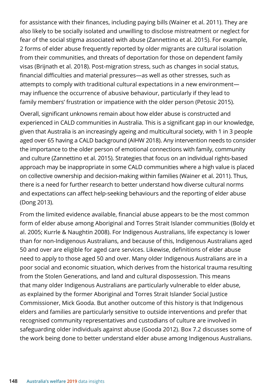for assistance with their finances, including paying bills (Wainer et al. 2011). They are also likely to be socially isolated and unwilling to disclose mistreatment or neglect for fear of the social stigma associated with abuse (Zannettino et al. 2015). For example, 2 forms of elder abuse frequently reported by older migrants are cultural isolation from their communities, and threats of deportation for those on dependent family visas (Brijnath et al. 2018). Post-migration stress, such as changes in social status, financial difficulties and material pressures—as well as other stresses, such as attempts to comply with traditional cultural expectations in a new environment may influence the occurrence of abusive behaviour, particularly if they lead to family members' frustration or impatience with the older person (Petosic 2015).

Overall, significant unknowns remain about how elder abuse is constructed and experienced in CALD communities in Australia. This is a significant gap in our knowledge, given that Australia is an increasingly ageing and multicultural society, with 1 in 3 people aged over 65 having a CALD background (AIHW 2018). Any intervention needs to consider the importance to the older person of emotional connections with family, community and culture (Zannettino et al. 2015). Strategies that focus on an individual rights-based approach may be inappropriate in some CALD communities where a high value is placed on collective ownership and decision-making within families (Wainer et al. 2011). Thus, there is a need for further research to better understand how diverse cultural norms and expectations can affect help-seeking behaviours and the reporting of elder abuse (Dong 2013).

From the limited evidence available, financial abuse appears to be the most common form of elder abuse among Aboriginal and Torres Strait Islander communities (Boldy et al. 2005; Kurrle & Naughtin 2008). For Indigenous Australians, life expectancy is lower than for non-Indigenous Australians, and because of this, Indigenous Australians aged 50 and over are eligible for aged care services. Likewise, definitions of elder abuse need to apply to those aged 50 and over. Many older Indigenous Australians are in a poor social and economic situation, which derives from the historical trauma resulting from the Stolen Generations, and land and cultural dispossession. This means that many older Indigenous Australians are particularly vulnerable to elder abuse, as explained by the former Aboriginal and Torres Strait Islander Social Justice Commissioner, Mick Gooda. But another outcome of this history is that Indigenous elders and families are particularly sensitive to outside interventions and prefer that recognised community representatives and custodians of culture are involved in safeguarding older individuals against abuse (Gooda 2012). Box 7.2 discusses some of the work being done to better understand elder abuse among Indigenous Australians.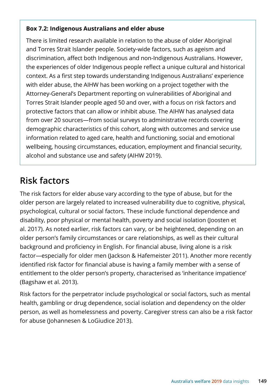#### **Box 7.2: Indigenous Australians and elder abuse**

There is limited research available in relation to the abuse of older Aboriginal and Torres Strait Islander people. Society-wide factors, such as ageism and discrimination, affect both Indigenous and non-Indigenous Australians. However, the experiences of older Indigenous people reflect a unique cultural and historical context. As a first step towards understanding Indigenous Australians' experience with elder abuse, the AIHW has been working on a project together with the Attorney-General's Department reporting on vulnerabilities of Aboriginal and Torres Strait Islander people aged 50 and over, with a focus on risk factors and protective factors that can allow or inhibit abuse. The AIHW has analysed data from over 20 sources—from social surveys to administrative records covering demographic characteristics of this cohort, along with outcomes and service use information related to aged care, health and functioning, social and emotional wellbeing, housing circumstances, education, employment and financial security, alcohol and substance use and safety (AIHW 2019).

### **Risk factors**

The risk factors for elder abuse vary according to the type of abuse, but for the older person are largely related to increased vulnerability due to cognitive, physical, psychological, cultural or social factors. These include functional dependence and disability, poor physical or mental health, poverty and social isolation (Joosten et al. 2017). As noted earlier, risk factors can vary, or be heightened, depending on an older person's family circumstances or care relationships, as well as their cultural background and proficiency in English. For financial abuse, living alone is a risk factor—especially for older men (Jackson & Hafemeister 2011). Another more recently identified risk factor for financial abuse is having a family member with a sense of entitlement to the older person's property, characterised as 'inheritance impatience' (Bagshaw et al. 2013).

Risk factors for the perpetrator include psychological or social factors, such as mental health, gambling or drug dependence, social isolation and dependency on the older person, as well as homelessness and poverty. Caregiver stress can also be a risk factor for abuse (Johannesen & LoGiudice 2013).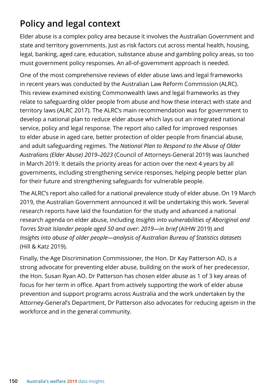# **Policy and legal context**

Elder abuse is a complex policy area because it involves the Australian Government and state and territory governments. Just as risk factors cut across mental health, housing, legal, banking, aged care, education, substance abuse and gambling policy areas, so too must government policy responses. An all-of-government approach is needed.

One of the most comprehensive reviews of elder abuse laws and legal frameworks in recent years was conducted by the Australian Law Reform Commission (ALRC). This review examined existing Commonwealth laws and legal frameworks as they relate to safeguarding older people from abuse and how these interact with state and territory laws (ALRC 2017). The ALRC's main recommendation was for government to develop a national plan to reduce elder abuse which lays out an integrated national service, policy and legal response. The report also called for improved responses to elder abuse in aged care, better protection of older people from financial abuse, and adult safeguarding regimes. The *National Plan to Respond to the Abuse of Older Australians (Elder Abuse) 2019–2023* (Council of Attorneys-General 2019) was launched in March 2019. It details the priority areas for action over the next 4 years by all governments, including strengthening service responses, helping people better plan for their future and strengthening safeguards for vulnerable people.

The ALRC's report also called for a national prevalence study of elder abuse. On 19 March 2019, the Australian Government announced it will be undertaking this work. Several research reports have laid the foundation for the study and advanced a national research agenda on elder abuse, including *Insights into vulnerabilities of Aboriginal and Torres Strait Islander people aged 50 and over: 2019—in brief* (AIHW 2019) and *Insights into abuse of older people—analysis of Australian Bureau of Statistics datasets* (Hill & Katz 2019).

Finally, the Age Discrimination Commissioner, the Hon. Dr Kay Patterson AO, is a strong advocate for preventing elder abuse, building on the work of her predecessor, the Hon. Susan Ryan AO. Dr Patterson has chosen elder abuse as 1 of 3 key areas of focus for her term in office. Apart from actively supporting the work of elder abuse prevention and support programs across Australia and the work undertaken by the Attorney-General's Department, Dr Patterson also advocates for reducing ageism in the workforce and in the general community.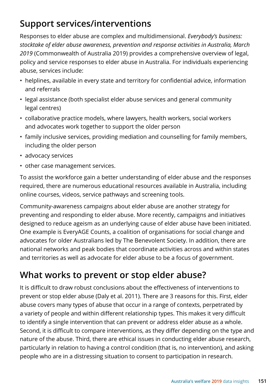# **Support services/interventions**

Responses to elder abuse are complex and multidimensional. *Everybody's business: stocktake of elder abuse awareness, prevention and response activities in Australia, March 2019* (Commonwealth of Australia 2019) provides a comprehensive overview of legal, policy and service responses to elder abuse in Australia. For individuals experiencing abuse, services include:

- helplines, available in every state and territory for confidential advice, information and referrals
- legal assistance (both specialist elder abuse services and general community legal centres)
- collaborative practice models, where lawyers, health workers, social workers and advocates work together to support the older person
- family inclusive services, providing mediation and counselling for family members, including the older person
- advocacy services
- other case management services.

To assist the workforce gain a better understanding of elder abuse and the responses required, there are numerous educational resources available in Australia, including online courses, videos, service pathways and screening tools.

Community-awareness campaigns about elder abuse are another strategy for preventing and responding to elder abuse. More recently, campaigns and initiatives designed to reduce ageism as an underlying cause of elder abuse have been initiated. One example is EveryAGE Counts, a coalition of organisations for social change and advocates for older Australians led by The Benevolent Society. In addition, there are national networks and peak bodies that coordinate activities across and within states and territories as well as advocate for elder abuse to be a focus of government.

### **What works to prevent or stop elder abuse?**

It is difficult to draw robust conclusions about the effectiveness of interventions to prevent or stop elder abuse (Daly et al. 2011). There are 3 reasons for this. First, elder abuse covers many types of abuse that occur in a range of contexts, perpetrated by a variety of people and within different relationship types. This makes it very difficult to identify a single intervention that can prevent or address elder abuse as a whole. Second, it is difficult to compare interventions, as they differ depending on the type and nature of the abuse. Third, there are ethical issues in conducting elder abuse research, particularly in relation to having a control condition (that is, no intervention), and asking people who are in a distressing situation to consent to participation in research.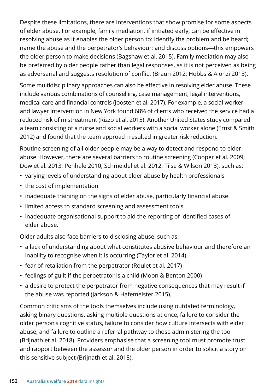Despite these limitations, there are interventions that show promise for some aspects of elder abuse. For example, family mediation, if initiated early, can be effective in resolving abuse as it enables the older person to: identify the problem and be heard; name the abuse and the perpetrator's behaviour; and discuss options—this empowers the older person to make decisions (Bagshaw et al. 2015). Family mediation may also be preferred by older people rather than legal responses, as it is not perceived as being as adversarial and suggests resolution of conflict (Braun 2012; Hobbs & Alonzi 2013).

Some multidisciplinary approaches can also be effective in resolving elder abuse. These include various combinations of counselling, case management, legal interventions, medical care and financial controls (Joosten et al. 2017). For example, a social worker and lawyer intervention in New York found 68% of clients who received the service had a reduced risk of mistreatment (Rizzo et al. 2015). Another United States study compared a team consisting of a nurse and social workers with a social worker alone (Ernst & Smith 2012) and found that the team approach resulted in greater risk reduction.

Routine screening of all older people may be a way to detect and respond to elder abuse. However, there are several barriers to routine screening (Cooper et al. 2009; Dow et al. 2013; Penhale 2010; Schmeidel et al. 2012; Tilse & Wilson 2013), such as:

- varying levels of understanding about elder abuse by health professionals
- the cost of implementation
- inadequate training on the signs of elder abuse, particularly financial abuse
- limited access to standard screening and assessment tools
- inadequate organisational support to aid the reporting of identified cases of elder abuse.

Older adults also face barriers to disclosing abuse, such as:

- a lack of understanding about what constitutes abusive behaviour and therefore an inability to recognise when it is occurring (Taylor et al. 2014)
- fear of retaliation from the perpetrator (Roulet et al. 2017)
- feelings of guilt if the perpetrator is a child (Moon & Benton 2000)
- a desire to protect the perpetrator from negative consequences that may result if the abuse was reported (Jackson & Hafemeister 2015).

Common criticisms of the tools themselves include using outdated terminology, asking binary questions, asking multiple questions at once, failure to consider the older person's cognitive status, failure to consider how culture intersects with elder abuse, and failure to outline a referral pathway to those administering the tool (Brijnath et al. 2018). Providers emphasise that a screening tool must promote trust and rapport between the assessor and the older person in order to solicit a story on this sensitive subject (Brijnath et al. 2018).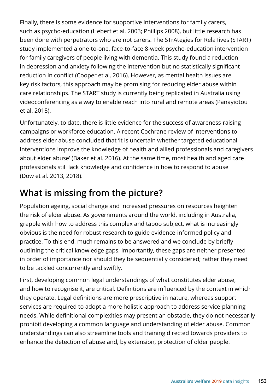Finally, there is some evidence for supportive interventions for family carers, such as psycho-education (Hebert et al. 2003; Phillips 2008), but little research has been done with perpetrators who are not carers. The STrAtegies for RelaTives (START) study implemented a one-to-one, face-to-face 8-week psycho-education intervention for family caregivers of people living with dementia. This study found a reduction in depression and anxiety following the intervention but no statistically significant reduction in conflict (Cooper et al. 2016). However, as mental health issues are key risk factors, this approach may be promising for reducing elder abuse within care relationships. The START study is currently being replicated in Australia using videoconferencing as a way to enable reach into rural and remote areas (Panayiotou et al. 2018).

Unfortunately, to date, there is little evidence for the success of awareness-raising campaigns or workforce education. A recent Cochrane review of interventions to address elder abuse concluded that 'it is uncertain whether targeted educational interventions improve the knowledge of health and allied professionals and caregivers about elder abuse' (Baker et al. 2016). At the same time, most health and aged care professionals still lack knowledge and confidence in how to respond to abuse (Dow et al. 2013, 2018).

# **What is missing from the picture?**

Population ageing, social change and increased pressures on resources heighten the risk of elder abuse. As governments around the world, including in Australia, grapple with how to address this complex and taboo subject, what is increasingly obvious is the need for robust research to guide evidence-informed policy and practice. To this end, much remains to be answered and we conclude by briefly outlining the critical knowledge gaps. Importantly, these gaps are neither presented in order of importance nor should they be sequentially considered; rather they need to be tackled concurrently and swiftly.

First, developing common legal understandings of what constitutes elder abuse, and how to recognise it, are critical. Definitions are influenced by the context in which they operate. Legal definitions are more prescriptive in nature, whereas support services are required to adopt a more holistic approach to address service-planning needs. While definitional complexities may present an obstacle, they do not necessarily prohibit developing a common language and understanding of elder abuse. Common understandings can also streamline tools and training directed towards providers to enhance the detection of abuse and, by extension, protection of older people.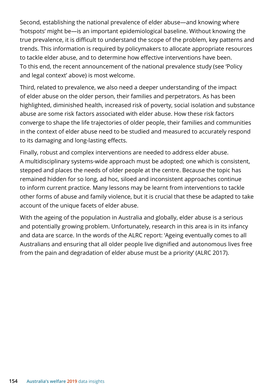Second, establishing the national prevalence of elder abuse—and knowing where 'hotspots' might be—is an important epidemiological baseline. Without knowing the true prevalence, it is difficult to understand the scope of the problem, key patterns and trends. This information is required by policymakers to allocate appropriate resources to tackle elder abuse, and to determine how effective interventions have been. To this end, the recent announcement of the national prevalence study (see 'Policy and legal context' above) is most welcome.

Third, related to prevalence, we also need a deeper understanding of the impact of elder abuse on the older person, their families and perpetrators. As has been highlighted, diminished health, increased risk of poverty, social isolation and substance abuse are some risk factors associated with elder abuse. How these risk factors converge to shape the life trajectories of older people, their families and communities in the context of elder abuse need to be studied and measured to accurately respond to its damaging and long-lasting effects.

Finally, robust and complex interventions are needed to address elder abuse. A multidisciplinary systems-wide approach must be adopted; one which is consistent, stepped and places the needs of older people at the centre. Because the topic has remained hidden for so long, ad hoc, siloed and inconsistent approaches continue to inform current practice. Many lessons may be learnt from interventions to tackle other forms of abuse and family violence, but it is crucial that these be adapted to take account of the unique facets of elder abuse.

With the ageing of the population in Australia and globally, elder abuse is a serious and potentially growing problem. Unfortunately, research in this area is in its infancy and data are scarce. In the words of the ALRC report: 'Ageing eventually comes to all Australians and ensuring that all older people live dignified and autonomous lives free from the pain and degradation of elder abuse must be a priority' (ALRC 2017).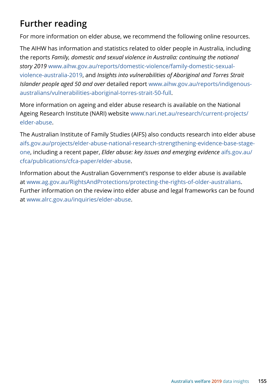# **Further reading**

For more information on elder abuse, we recommend the following online resources.

The AIHW has information and statistics related to older people in Australia, including the reports *Family, domestic and sexual violence in Australia: continuing the national story 2019* www.aihw.gov.au/reports/domestic-violence/family-domestic-sexualviolence-australia-2019, and *Insights into vulnerabilities of Aboriginal and Torres Strait Islander people aged 50 and over* detailed report www.aihw.gov.au/reports/indigenousaustralians/vulnerabilities-aboriginal-torres-strait-50-full.

More information on ageing and elder abuse research is available on the National Ageing Research Institute (NARI) website [www.nari.net.au/research/current-projects/](https://www.nari.net.au/research/current-projects/elder-abuse) [elder-abuse](https://www.nari.net.au/research/current-projects/elder-abuse).

The Australian Institute of Family Studies (AIFS) also conducts research into elder abuse [aifs.gov.au/projects/elder-abuse-national-research-strengthening-evidence-base-stage](https://aifs.gov.au/projects/elder-abuse-national-research-strengthening-evidence-base-stage-one)[one,](https://aifs.gov.au/projects/elder-abuse-national-research-strengthening-evidence-base-stage-one) including a recent paper, *Elder abuse: key issues and emerging evidence* [aifs.gov.au/](https://aifs.gov.au/cfca/publications/cfca-paper/elder-abuse) [cfca/publications/cfca-paper/elder-abuse](https://aifs.gov.au/cfca/publications/cfca-paper/elder-abuse).

Information about the Australian Government's response to elder abuse is available at www.ag.gov.au/RightsAndProtections/protecting-the-rights-of-older-australians. Further information on the review into elder abuse and legal frameworks can be found at [www.alrc.gov.au/inquiries/elder-abuse.](https://www.alrc.gov.au/inquiry/elder-abuse-2/)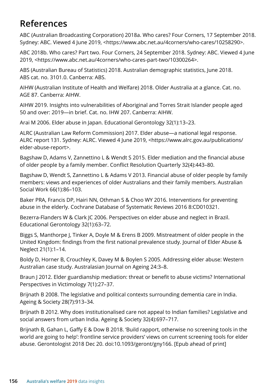# **References**

ABC (Australian Broadcasting Corporation) 2018a. Who cares? Four Corners, 17 September 2018. Sydney: ABC. Viewed 4 June 2019, <https://www.abc.net.au/4corners/who-cares/10258290>.

ABC 2018b. Who cares? Part two. Four Corners, 24 September 2018. Sydney: ABC. Viewed 4 June 2019, <https://www.abc.net.au/4corners/who-cares-part-two/10300264>.

ABS (Australian Bureau of Statistics) 2018. Australian demographic statistics, June 2018. ABS cat. no. 3101.0. Canberra: ABS.

AIHW (Australian Institute of Health and Welfare) 2018. Older Australia at a glance. Cat. no. AGE 87. Canberra: AIHW.

AIHW 2019. Insights into vulnerabilities of Aboriginal and Torres Strait Islander people aged 50 and over: 2019—in brief. Cat. no. IHW 207. Canberra: AIHW.

Arai M 2006. Elder abuse in Japan. Educational Gerontology 32(1):13–23.

ALRC (Australian Law Reform Commission) 2017. Elder abuse—a national legal response. ALRC report 131. Sydney: ALRC. Viewed 4 June 2019, <https://www.alrc.gov.au/publications/ elder-abuse-report>.

Bagshaw D, Adams V, Zannettino L & Wendt S 2015. Elder mediation and the financial abuse of older people by a family member. Conflict Resolution Quarterly 32(4):443–80.

Bagshaw D, Wendt S, Zannettino L & Adams V 2013. Financial abuse of older people by family members: views and experiences of older Australians and their family members. Australian Social Work 66(1):86–103.

Baker PRA, Francis DP, Hairi NN, Othman S & Choo WY 2016. Interventions for preventing abuse in the elderly. Cochrane Database of Systematic Reviews 2016 8:CD010321.

Bezerra-Flanders W & Clark JC 2006. Perspectives on elder abuse and neglect in Brazil. Educational Gerontology 32(1):63–72.

Biggs S, Manthorpe J, Tinker A, Doyle M & Erens B 2009. Mistreatment of older people in the United Kingdom: findings from the first national prevalence study. Journal of Elder Abuse & Neglect 21(1):1–14.

Boldy D, Horner B, Crouchley K, Davey M & Boylen S 2005. Addressing elder abuse: Western Australian case study. Australasian Journal on Ageing 24:3–8.

Braun J 2012. Elder guardianship mediation: threat or benefit to abuse victims? International Perspectives in Victimology 7(1):27–37.

Brijnath B 2008. The legislative and political contexts surrounding dementia care in India. Ageing & Society 28(7):913–34.

Brijnath B 2012. Why does institutionalised care not appeal to Indian families? Legislative and social answers from urban India. Ageing & Society 32(4):697–717.

Brijnath B, Gahan L, Gaffy E & Dow B 2018. 'Build rapport, otherwise no screening tools in the world are going to help': frontline service providers' views on current screening tools for elder abuse. Gerontologist 2018 Dec 20. doi:10.1093/geront/gny166. [Epub ahead of print]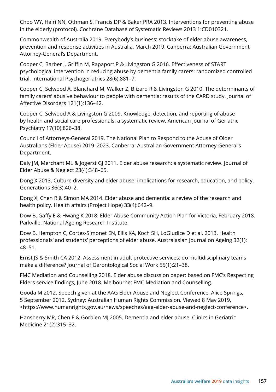Choo WY, Hairi NN, Othman S, Francis DP & Baker PRA 2013. Interventions for preventing abuse in the elderly (protocol). Cochrane Database of Systematic Reviews 2013 1:CD010321.

Commonwealth of Australia 2019. Everybody's business: stocktake of elder abuse awareness, prevention and response activities in Australia, March 2019. Canberra: Australian Government Attorney-General's Department.

Cooper C, Barber J, Griffin M, Rapaport P & Livingston G 2016. Effectiveness of START psychological intervention in reducing abuse by dementia family carers: randomized controlled trial. International Psychogeriatrics 28(6):881–7.

Cooper C, Selwood A, Blanchard M, Walker Z, Blizard R & Livingston G 2010. The determinants of family carers' abusive behaviour to people with dementia: results of the CARD study. Journal of Affective Disorders 121(1):136–42.

Cooper C, Selwood A & Livingston G 2009. Knowledge, detection, and reporting of abuse by health and social care professionals: a systematic review. American Journal of Geriatric Psychiatry 17(10):826–38.

Council of Attorneys-General 2019. The National Plan to Respond to the Abuse of Older Australians (Elder Abuse) 2019–2023. Canberra: Australian Government Attorney-General's Department.

Daly JM, Merchant ML & Jogerst GJ 2011. Elder abuse research: a systematic review. Journal of Elder Abuse & Neglect 23(4):348–65.

Dong X 2013. Culture diversity and elder abuse: implications for research, education, and policy. Generations 36(3):40–2.

Dong X, Chen R & Simon MA 2014. Elder abuse and dementia: a review of the research and health policy. Health affairs (Project Hope) 33(4):642–9.

Dow B, Gaffy E & Hwang K 2018. Elder Abuse Community Action Plan for Victoria, February 2018. Parkville: National Ageing Research Institute.

Dow B, Hempton C, Cortes-Simonet EN, Ellis KA, Koch SH, LoGiudice D et al. 2013. Health professionals' and students' perceptions of elder abuse. Australasian Journal on Ageing 32(1): 48–51.

Ernst JS & Smith CA 2012. Assessment in adult protective services: do multidisciplinary teams make a difference? Journal of Gerontological Social Work 55(1):21–38.

FMC Mediation and Counselling 2018. Elder abuse discussion paper: based on FMC's Respecting Elders service findings, June 2018. Melbourne: FMC Mediation and Counselling.

Gooda M 2012. Speech given at the AAG Elder Abuse and Neglect Conference, Alice Springs, 5 September 2012. Sydney: Australian Human Rights Commission. Viewed 8 May 2019, <https://www.humanrights.gov.au/news/speeches/aag-elder-abuse-and-neglect-conference>.

Hansberry MR, Chen E & Gorbien MJ 2005. Dementia and elder abuse. Clinics in Geriatric Medicine 21(2):315–32.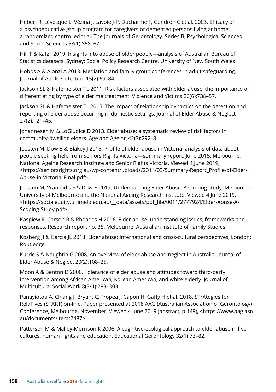Hebert R, Lévesque L, Vézina J, Lavoie J-P, Ducharme F, Gendron C et al. 2003. Efficacy of a psychoeducative group program for caregivers of demented persons living at home: a randomized controlled trial. The Journals of Gerontology. Series B, Psychological Sciences and Social Sciences 58(1):S58–67.

Hill T & Katz I 2019. Insights into abuse of older people—analysis of Australian Bureau of Statistics datasets. Sydney: Social Policy Research Centre, University of New South Wales.

Hobbs A & Alonzi A 2013. Mediation and family group conferences in adult safeguarding. Journal of Adult Protection 15(2):69–84.

Jackson SL & Hafemeister TL 2011. Risk factors associated with elder abuse: the importance of differentiating by type of elder maltreatment. Violence and Victims 26(6):738–57.

Jackson SL & Hafemeister TL 2015. The impact of relationship dynamics on the detection and reporting of elder abuse occurring in domestic settings. Journal of Elder Abuse & Neglect 27(2):121–45.

Johannesen M & LoGiudice D 2013. Elder abuse: a systematic review of risk factors in community-dwelling elders. Age and Ageing 42(3):292–8.

Joosten M, Dow B & Blakey J 2015. Profile of elder abuse in Victoria: analysis of data about people seeking help from Seniors Rights Victoria—summary report, June 2015. Melbourne: National Ageing Research Institute and Senior Rights Victoria. Viewed 4 June 2019, <https://seniorsrights.org.au/wp-content/uploads/2014/03/Summary-Report\_Profile-of-Elder-Abuse-in-Victoria\_Final.pdf>.

Joosten M, Vrantsidis F & Dow B 2017. Understanding Elder Abuse: A scoping study. Melbourne: University of Melbourne and the National Ageing Research Institute. Viewed 4 June 2019, <https://socialequity.unimelb.edu.au/\_\_data/assets/pdf\_file/0011/2777924/Elder-Abuse-A-Scoping-Study.pdf>.

Kaspiew R, Carson R & Rhoades H 2016. Elder abuse: understanding issues, frameworks and responses. Research report no. 35. Melbourne: Australian Institute of Family Studies.

Kosberg JI & Garcia JL 2013. Elder abuse: International and cross-cultural perspectives, London: Routledge.

Kurrle S & Naughtin G 2008. An overview of elder abuse and neglect in Australia. Journal of Elder Abuse & Neglect 20(2):108–25.

Moon A & Benton D 2000. Tolerance of elder abuse and attitudes toward third-party intervention among African American, Korean American, and white elderly. Journal of Multicultural Social Work 8(3/4):283–303.

Panayiotou A, Chiang J, Bryant C, Tropea J, Capon H, Gaffy H et al. 2018. STrAtegies for RelaTives (START) on-line. Paper presented at 2018 AAG (Australian Association of Gerontology) Conference, Melbourne, November. Viewed 4 June 2019 (abstract, p.149), <https://www.aag.asn. au/documents/item/2487>.

Patterson M & Malley-Morrison K 2006. A cognitive-ecological approach to elder abuse in five cultures: human rights and education. Educational Gerontology 32(1):73–82.